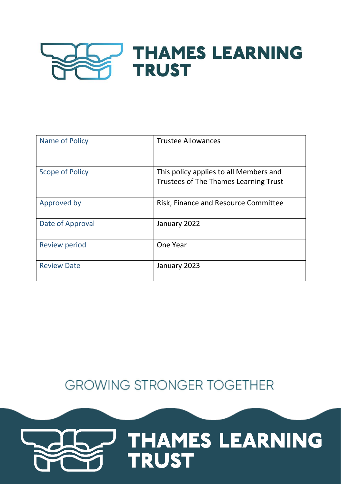

| Name of Policy         | <b>Trustee Allowances</b>                                                              |
|------------------------|----------------------------------------------------------------------------------------|
| <b>Scope of Policy</b> | This policy applies to all Members and<br><b>Trustees of The Thames Learning Trust</b> |
| Approved by            | Risk, Finance and Resource Committee                                                   |
| Date of Approval       | January 2022                                                                           |
| <b>Review period</b>   | One Year                                                                               |
| <b>Review Date</b>     | January 2023                                                                           |

**GROWING STRONGER TOGETHER** 

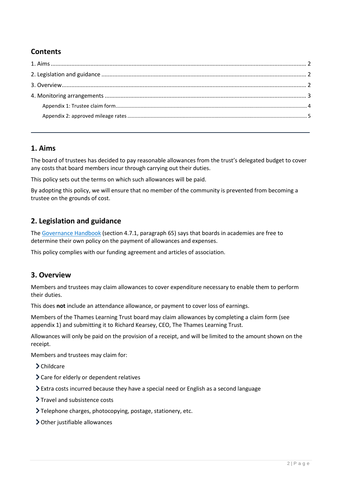# **Contents**

## <span id="page-1-0"></span>**1. Aims**

The board of trustees has decided to pay reasonable allowances from the trust's delegated budget to cover any costs that board members incur through carrying out their duties.

This policy sets out the terms on which such allowances will be paid.

By adopting this policy, we will ensure that no member of the community is prevented from becoming a trustee on the grounds of cost.

## <span id="page-1-1"></span>**2. Legislation and guidance**

The [Governance Handbook](https://www.gov.uk/government/uploads/system/uploads/attachment_data/file/582868/Governance_Handbook_-_January_2017.pdf) (section 4.7.1, paragraph 65) says that boards in academies are free to determine their own policy on the payment of allowances and expenses.

This policy complies with our funding agreement and articles of association.

#### <span id="page-1-2"></span>**3. Overview**

Members and trustees may claim allowances to cover expenditure necessary to enable them to perform their duties.

This does **not** include an attendance allowance, or payment to cover loss of earnings.

Members of the Thames Learning Trust board may claim allowances by completing a claim form (see appendix 1) and submitting it to Richard Kearsey, CEO, The Thames Learning Trust.

Allowances will only be paid on the provision of a receipt, and will be limited to the amount shown on the receipt.

Members and trustees may claim for:

- > Childcare
- Care for elderly or dependent relatives
- Extra costs incurred because they have a special need or English as a second language
- > Travel and subsistence costs
- Telephone charges, photocopying, postage, stationery, etc.
- > Other justifiable allowances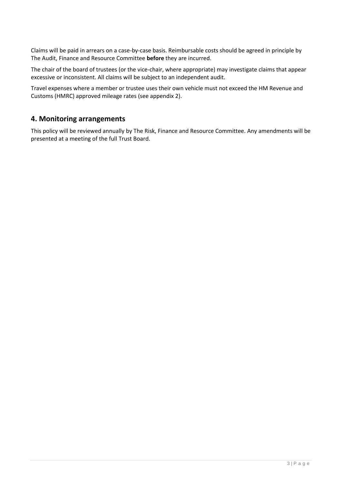Claims will be paid in arrears on a case-by-case basis. Reimbursable costs should be agreed in principle by The Audit, Finance and Resource Committee **before** they are incurred.

The chair of the board of trustees (or the vice-chair, where appropriate) may investigate claims that appear excessive or inconsistent. All claims will be subject to an independent audit.

Travel expenses where a member or trustee uses their own vehicle must not exceed the HM Revenue and Customs (HMRC) approved mileage rates (see appendix 2).

#### <span id="page-2-0"></span>**4. Monitoring arrangements**

This policy will be reviewed annually by The Risk, Finance and Resource Committee. Any amendments will be presented at a meeting of the full Trust Board.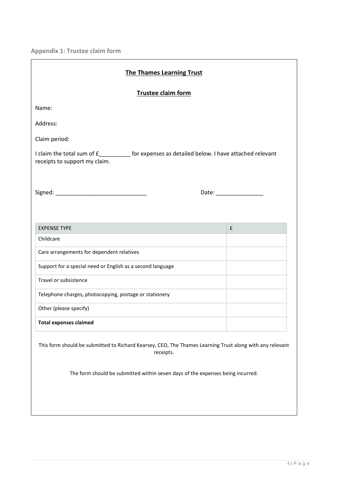<span id="page-3-0"></span>**Appendix 1: Trustee claim form**

| <b>The Thames Learning Trust</b>                                                                                               |                    |  |  |
|--------------------------------------------------------------------------------------------------------------------------------|--------------------|--|--|
| Trustee claim form                                                                                                             |                    |  |  |
| Name:                                                                                                                          |                    |  |  |
| Address:                                                                                                                       |                    |  |  |
| Claim period:                                                                                                                  |                    |  |  |
| I claim the total sum of £__________ for expenses as detailed below. I have attached relevant<br>receipts to support my claim. |                    |  |  |
|                                                                                                                                |                    |  |  |
|                                                                                                                                |                    |  |  |
| <b>EXPENSE TYPE</b>                                                                                                            | $\pmb{\mathsf{f}}$ |  |  |
| Childcare                                                                                                                      |                    |  |  |
| Care arrangements for dependent relatives                                                                                      |                    |  |  |
| Support for a special need or English as a second language                                                                     |                    |  |  |
| Travel or subsistence                                                                                                          |                    |  |  |
| Telephone charges, photocopying, postage or stationery                                                                         |                    |  |  |
| Other (please specify)                                                                                                         |                    |  |  |
| <b>Total expenses claimed</b>                                                                                                  |                    |  |  |
| This form should be submitted to Richard Kearsey, CEO, The Thames Learning Trust along with any relevant<br>receipts.          |                    |  |  |
| The form should be submitted within seven days of the expenses being incurred.                                                 |                    |  |  |
|                                                                                                                                |                    |  |  |
|                                                                                                                                |                    |  |  |